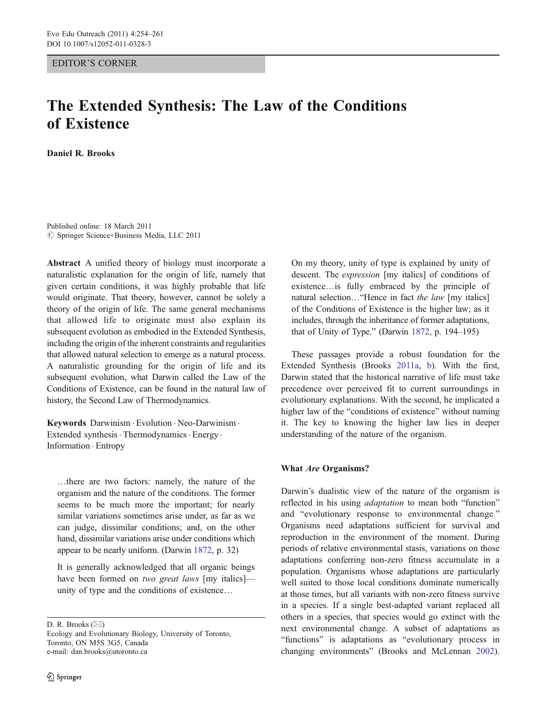EDITOR'S CORNER

# The Extended Synthesis: The Law of the Conditions of Existence

Daniel R. Brooks

Published online: 18 March 2011  $©$  Springer Science+Business Media, LLC 2011

Abstract A unified theory of biology must incorporate a naturalistic explanation for the origin of life, namely that given certain conditions, it was highly probable that life would originate. That theory, however, cannot be solely a theory of the origin of life. The same general mechanisms that allowed life to originate must also explain its subsequent evolution as embodied in the Extended Synthesis, including the origin of the inherent constraints and regularities that allowed natural selection to emerge as a natural process. A naturalistic grounding for the origin of life and its subsequent evolution, what Darwin called the Law of the Conditions of Existence, can be found in the natural law of history, the Second Law of Thermodynamics.

Keywords Darwinism . Evolution . Neo-Darwinism . Extended synthesis. Thermodynamics. Energy. Information . Entropy

…there are two factors: namely, the nature of the organism and the nature of the conditions. The former seems to be much more the important; for nearly similar variations sometimes arise under, as far as we can judge, dissimilar conditions; and, on the other hand, dissimilar variations arise under conditions which appear to be nearly uniform. (Darwin [1872,](#page-7-0) p. 32)

It is generally acknowledged that all organic beings have been formed on two great laws [my italics]unity of type and the conditions of existence…

D. R. Brooks  $(\boxtimes)$ 

Ecology and Evolutionary Biology, University of Toronto, Toronto, ON M5S 3G5, Canada e-mail: dan.brooks@utoronto.ca

On my theory, unity of type is explained by unity of descent. The expression [my italics] of conditions of existence…is fully embraced by the principle of natural selection... "Hence in fact the law [my italics] of the Conditions of Existence is the higher law; as it includes, through the inheritance of former adaptations, that of Unity of Type." (Darwin [1872,](#page-7-0) p. 194–195)

These passages provide a robust foundation for the Extended Synthesis (Brooks [2011a](#page-6-0), [b](#page-6-0)). With the first, Darwin stated that the historical narrative of life must take precedence over perceived fit to current surroundings in evolutionary explanations. With the second, he implicated a higher law of the "conditions of existence" without naming it. The key to knowing the higher law lies in deeper understanding of the nature of the organism.

## What Are Organisms?

Darwin's dualistic view of the nature of the organism is reflected in his using adaptation to mean both "function" and "evolutionary response to environmental change." Organisms need adaptations sufficient for survival and reproduction in the environment of the moment. During periods of relative environmental stasis, variations on those adaptations conferring non-zero fitness accumulate in a population. Organisms whose adaptations are particularly well suited to those local conditions dominate numerically at those times, but all variants with non-zero fitness survive in a species. If a single best-adapted variant replaced all others in a species, that species would go extinct with the next environmental change. A subset of adaptations as "functions" is adaptations as "evolutionary process in changing environments" (Brooks and McLennan [2002\)](#page-7-0).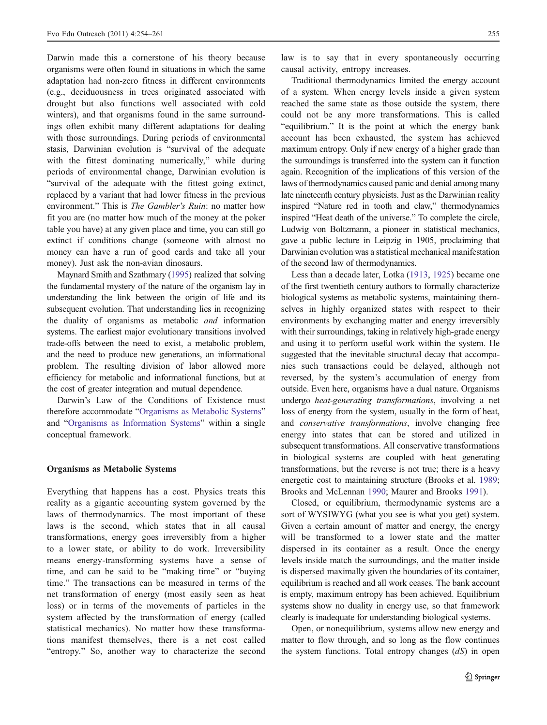Darwin made this a cornerstone of his theory because organisms were often found in situations in which the same adaptation had non-zero fitness in different environments (e.g., deciduousness in trees originated associated with drought but also functions well associated with cold winters), and that organisms found in the same surroundings often exhibit many different adaptations for dealing with those surroundings. During periods of environmental stasis, Darwinian evolution is "survival of the adequate with the fittest dominating numerically," while during periods of environmental change, Darwinian evolution is "survival of the adequate with the fittest going extinct, replaced by a variant that had lower fitness in the previous environment." This is *The Gambler's Ruin*: no matter how fit you are (no matter how much of the money at the poker table you have) at any given place and time, you can still go extinct if conditions change (someone with almost no money can have a run of good cards and take all your money). Just ask the non-avian dinosaurs.

Maynard Smith and Szathmary [\(1995\)](#page-7-0) realized that solving the fundamental mystery of the nature of the organism lay in understanding the link between the origin of life and its subsequent evolution. That understanding lies in recognizing the duality of organisms as metabolic and information systems. The earliest major evolutionary transitions involved trade-offs between the need to exist, a metabolic problem, and the need to produce new generations, an informational problem. The resulting division of labor allowed more efficiency for metabolic and informational functions, but at the cost of greater integration and mutual dependence.

Darwin's Law of the Conditions of Existence must therefore accommodate "Organisms as Metabolic Systems" and "[Organisms as Information Systems](#page-3-0)" within a single conceptual framework.

#### Organisms as Metabolic Systems

Everything that happens has a cost. Physics treats this reality as a gigantic accounting system governed by the laws of thermodynamics. The most important of these laws is the second, which states that in all causal transformations, energy goes irreversibly from a higher to a lower state, or ability to do work. Irreversibility means energy-transforming systems have a sense of time, and can be said to be "making time" or "buying time." The transactions can be measured in terms of the net transformation of energy (most easily seen as heat loss) or in terms of the movements of particles in the system affected by the transformation of energy (called statistical mechanics). No matter how these transformations manifest themselves, there is a net cost called "entropy." So, another way to characterize the second

law is to say that in every spontaneously occurring causal activity, entropy increases.

Traditional thermodynamics limited the energy account of a system. When energy levels inside a given system reached the same state as those outside the system, there could not be any more transformations. This is called "equilibrium." It is the point at which the energy bank account has been exhausted, the system has achieved maximum entropy. Only if new energy of a higher grade than the surroundings is transferred into the system can it function again. Recognition of the implications of this version of the laws of thermodynamics caused panic and denial among many late nineteenth century physicists. Just as the Darwinian reality inspired "Nature red in tooth and claw," thermodynamics inspired "Heat death of the universe." To complete the circle, Ludwig von Boltzmann, a pioneer in statistical mechanics, gave a public lecture in Leipzig in 1905, proclaiming that Darwinian evolution was a statistical mechanical manifestation of the second law of thermodynamics.

Less than a decade later, Lotka [\(1913](#page-7-0), [1925](#page-7-0)) became one of the first twentieth century authors to formally characterize biological systems as metabolic systems, maintaining themselves in highly organized states with respect to their environments by exchanging matter and energy irreversibly with their surroundings, taking in relatively high-grade energy and using it to perform useful work within the system. He suggested that the inevitable structural decay that accompanies such transactions could be delayed, although not reversed, by the system's accumulation of energy from outside. Even here, organisms have a dual nature. Organisms undergo heat-generating transformations, involving a net loss of energy from the system, usually in the form of heat, and conservative transformations, involve changing free energy into states that can be stored and utilized in subsequent transformations. All conservative transformations in biological systems are coupled with heat generating transformations, but the reverse is not true; there is a heavy energetic cost to maintaining structure (Brooks et al. [1989;](#page-7-0) Brooks and McLennan [1990](#page-6-0); Maurer and Brooks [1991](#page-7-0)).

Closed, or equilibrium, thermodynamic systems are a sort of WYSIWYG (what you see is what you get) system. Given a certain amount of matter and energy, the energy will be transformed to a lower state and the matter dispersed in its container as a result. Once the energy levels inside match the surroundings, and the matter inside is dispersed maximally given the boundaries of its container, equilibrium is reached and all work ceases. The bank account is empty, maximum entropy has been achieved. Equilibrium systems show no duality in energy use, so that framework clearly is inadequate for understanding biological systems.

Open, or nonequilibrium, systems allow new energy and matter to flow through, and so long as the flow continues the system functions. Total entropy changes  $(dS)$  in open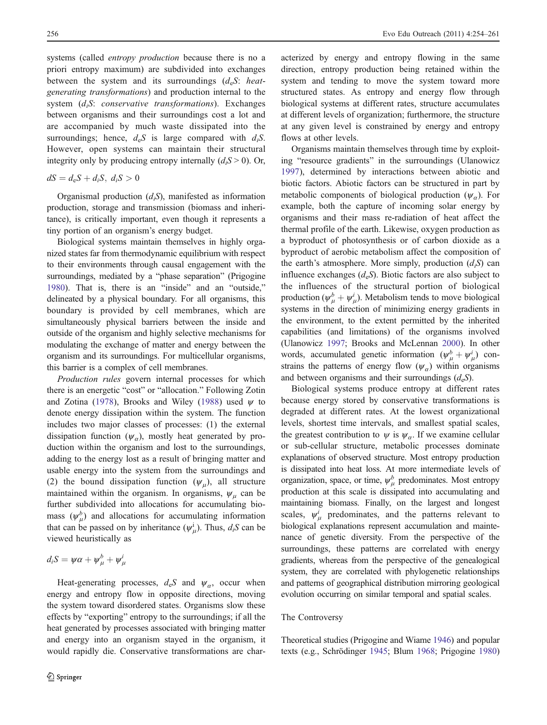systems (called *entropy production* because there is no a priori entropy maximum) are subdivided into exchanges between the system and its surroundings  $(d_eS: heat$ generating transformations) and production internal to the system  $(d_iS: \text{conservative}$  transformations). Exchanges between organisms and their surroundings cost a lot and are accompanied by much waste dissipated into the surroundings; hence,  $d_eS$  is large compared with  $d_iS$ . However, open systems can maintain their structural integrity only by producing entropy internally  $(d_iS > 0)$ . Or,

$$
dS = d_e S + d_i S, d_i S > 0
$$

Organismal production  $(d_iS)$ , manifested as information production, storage and transmission (biomass and inheritance), is critically important, even though it represents a tiny portion of an organism's energy budget.

Biological systems maintain themselves in highly organized states far from thermodynamic equilibrium with respect to their environments through causal engagement with the surroundings, mediated by a "phase separation" (Prigogine [1980\)](#page-7-0). That is, there is an "inside" and an "outside," delineated by a physical boundary. For all organisms, this boundary is provided by cell membranes, which are simultaneously physical barriers between the inside and outside of the organism and highly selective mechanisms for modulating the exchange of matter and energy between the organism and its surroundings. For multicellular organisms, this barrier is a complex of cell membranes.

Production rules govern internal processes for which there is an energetic "cost" or "allocation." Following Zotin and Zotina ([1978\)](#page-7-0), Brooks and Wiley ([1988\)](#page-7-0) used  $\psi$  to denote energy dissipation within the system. The function includes two major classes of processes: (1) the external dissipation function  $(\psi_{\alpha})$ , mostly heat generated by production within the organism and lost to the surroundings, adding to the energy lost as a result of bringing matter and usable energy into the system from the surroundings and (2) the bound dissipation function  $(\psi_{\mu})$ , all structure maintained within the organism. In organisms,  $\psi_{\mu}$  can be further subdivided into allocations for accumulating biomass  $(\psi^b_\mu)$  and allocations for accumulating information that can be passed on by inheritance  $(\psi^i_\mu)$ . Thus,  $d_i S$  can be viewed heuristically as

$$
d_iS=\psi\alpha+\psi^b_\mu+\psi^i_\mu
$$

Heat-generating processes,  $d_eS$  and  $\psi_\alpha$ , occur when energy and entropy flow in opposite directions, moving the system toward disordered states. Organisms slow these effects by "exporting" entropy to the surroundings; if all the heat generated by processes associated with bringing matter and energy into an organism stayed in the organism, it would rapidly die. Conservative transformations are characterized by energy and entropy flowing in the same direction, entropy production being retained within the system and tending to move the system toward more structured states. As entropy and energy flow through biological systems at different rates, structure accumulates at different levels of organization; furthermore, the structure at any given level is constrained by energy and entropy flows at other levels.

Organisms maintain themselves through time by exploiting "resource gradients" in the surroundings (Ulanowicz [1997](#page-7-0)), determined by interactions between abiotic and biotic factors. Abiotic factors can be structured in part by metabolic components of biological production  $(\psi_{\alpha})$ . For example, both the capture of incoming solar energy by organisms and their mass re-radiation of heat affect the thermal profile of the earth. Likewise, oxygen production as a byproduct of photosynthesis or of carbon dioxide as a byproduct of aerobic metabolism affect the composition of the earth's atmosphere. More simply, production  $(d_iS)$  can influence exchanges  $(d_eS)$ . Biotic factors are also subject to the influences of the structural portion of biological production ( $\psi^b_\mu + \psi^i_\mu$ ). Metabolism tends to move biological systems in the direction of minimizing energy gradients in the environment, to the extent permitted by the inherited capabilities (and limitations) of the organisms involved (Ulanowicz [1997;](#page-7-0) Brooks and McLennan [2000](#page-7-0)). In other words, accumulated genetic information  $(\psi^b_\mu + \psi^i_\mu)$  constrains the patterns of energy flow  $(\psi_{\alpha})$  within organisms and between organisms and their surroundings  $(d_eS)$ .

Biological systems produce entropy at different rates because energy stored by conservative transformations is degraded at different rates. At the lowest organizational levels, shortest time intervals, and smallest spatial scales, the greatest contribution to  $\psi$  is  $\psi_{\alpha}$ . If we examine cellular or sub-cellular structure, metabolic processes dominate explanations of observed structure. Most entropy production is dissipated into heat loss. At more intermediate levels of organization, space, or time,  $\psi^b_\mu$  predominates. Most entropy production at this scale is dissipated into accumulating and maintaining biomass. Finally, on the largest and longest scales,  $\psi^i_\mu$  predominates, and the patterns relevant to biological explanations represent accumulation and maintenance of genetic diversity. From the perspective of the surroundings, these patterns are correlated with energy gradients, whereas from the perspective of the genealogical system, they are correlated with phylogenetic relationships and patterns of geographical distribution mirroring geological evolution occurring on similar temporal and spatial scales.

#### The Controversy

Theoretical studies (Prigogine and Wiame [1946](#page-7-0)) and popular texts (e.g., Schrödinger [1945](#page-7-0); Blum [1968;](#page-6-0) Prigogine [1980](#page-7-0))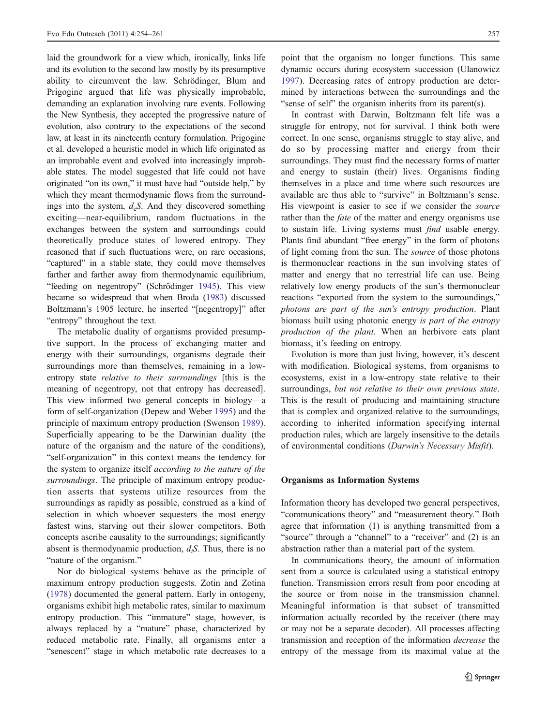<span id="page-3-0"></span>laid the groundwork for a view which, ironically, links life and its evolution to the second law mostly by its presumptive ability to circumvent the law. Schrödinger, Blum and Prigogine argued that life was physically improbable, demanding an explanation involving rare events. Following the New Synthesis, they accepted the progressive nature of evolution, also contrary to the expectations of the second law, at least in its nineteenth century formulation. Prigogine et al. developed a heuristic model in which life originated as an improbable event and evolved into increasingly improbable states. The model suggested that life could not have originated "on its own," it must have had "outside help," by which they meant thermodynamic flows from the surroundings into the system,  $d_eS$ . And they discovered something exciting—near-equilibrium, random fluctuations in the exchanges between the system and surroundings could theoretically produce states of lowered entropy. They reasoned that if such fluctuations were, on rare occasions, "captured" in a stable state, they could move themselves farther and farther away from thermodynamic equilibrium, "feeding on negentropy" (Schrödinger [1945\)](#page-7-0). This view became so widespread that when Broda [\(1983](#page-6-0)) discussed Boltzmann's 1905 lecture, he inserted "[negentropy]" after "entropy" throughout the text.

The metabolic duality of organisms provided presumptive support. In the process of exchanging matter and energy with their surroundings, organisms degrade their surroundings more than themselves, remaining in a lowentropy state *relative to their surroundings* [this is the meaning of negentropy, not that entropy has decreased]. This view informed two general concepts in biology—a form of self-organization (Depew and Weber [1995\)](#page-7-0) and the principle of maximum entropy production (Swenson [1989](#page-7-0)). Superficially appearing to be the Darwinian duality (the nature of the organism and the nature of the conditions), "self-organization" in this context means the tendency for the system to organize itself according to the nature of the surroundings. The principle of maximum entropy production asserts that systems utilize resources from the surroundings as rapidly as possible, construed as a kind of selection in which whoever sequesters the most energy fastest wins, starving out their slower competitors. Both concepts ascribe causality to the surroundings; significantly absent is thermodynamic production,  $d_iS$ . Thus, there is no "nature of the organism."

Nor do biological systems behave as the principle of maximum entropy production suggests. Zotin and Zotina [\(1978](#page-7-0)) documented the general pattern. Early in ontogeny, organisms exhibit high metabolic rates, similar to maximum entropy production. This "immature" stage, however, is always replaced by a "mature" phase, characterized by reduced metabolic rate. Finally, all organisms enter a "senescent" stage in which metabolic rate decreases to a

point that the organism no longer functions. This same dynamic occurs during ecosystem succession (Ulanowicz [1997](#page-7-0)). Decreasing rates of entropy production are determined by interactions between the surroundings and the "sense of self" the organism inherits from its parent(s).

In contrast with Darwin, Boltzmann felt life was a struggle for entropy, not for survival. I think both were correct. In one sense, organisms struggle to stay alive, and do so by processing matter and energy from their surroundings. They must find the necessary forms of matter and energy to sustain (their) lives. Organisms finding themselves in a place and time where such resources are available are thus able to "survive" in Boltzmann's sense. His viewpoint is easier to see if we consider the source rather than the *fate* of the matter and energy organisms use to sustain life. Living systems must find usable energy. Plants find abundant "free energy" in the form of photons of light coming from the sun. The source of those photons is thermonuclear reactions in the sun involving states of matter and energy that no terrestrial life can use. Being relatively low energy products of the sun's thermonuclear reactions "exported from the system to the surroundings," photons are part of the sun's entropy production. Plant biomass built using photonic energy is part of the entropy production of the plant. When an herbivore eats plant biomass, it's feeding on entropy.

Evolution is more than just living, however, it's descent with modification. Biological systems, from organisms to ecosystems, exist in a low-entropy state relative to their surroundings, but not relative to their own previous state. This is the result of producing and maintaining structure that is complex and organized relative to the surroundings, according to inherited information specifying internal production rules, which are largely insensitive to the details of environmental conditions (Darwin's Necessary Misfit).

#### Organisms as Information Systems

Information theory has developed two general perspectives, "communications theory" and "measurement theory." Both agree that information (1) is anything transmitted from a "source" through a "channel" to a "receiver" and (2) is an abstraction rather than a material part of the system.

In communications theory, the amount of information sent from a source is calculated using a statistical entropy function. Transmission errors result from poor encoding at the source or from noise in the transmission channel. Meaningful information is that subset of transmitted information actually recorded by the receiver (there may or may not be a separate decoder). All processes affecting transmission and reception of the information decrease the entropy of the message from its maximal value at the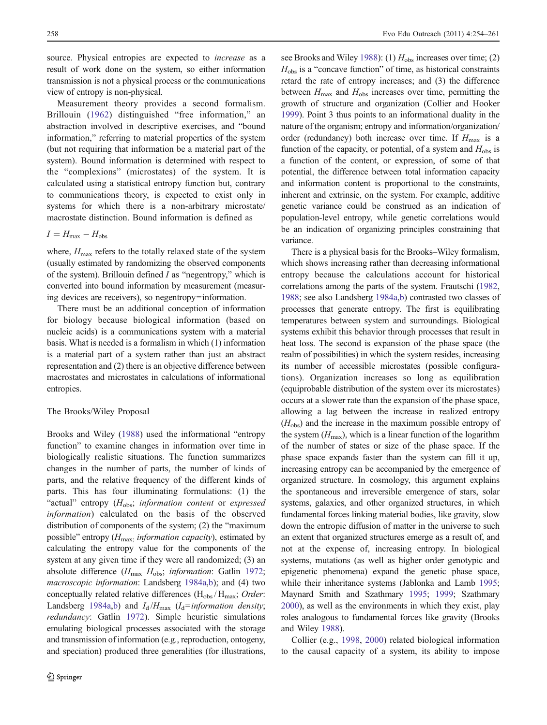source. Physical entropies are expected to *increase* as a result of work done on the system, so either information transmission is not a physical process or the communications view of entropy is non-physical.

Measurement theory provides a second formalism. Brillouin ([1962\)](#page-6-0) distinguished "free information," an abstraction involved in descriptive exercises, and "bound information," referring to material properties of the system (but not requiring that information be a material part of the system). Bound information is determined with respect to the "complexions" (microstates) of the system. It is calculated using a statistical entropy function but, contrary to communications theory, is expected to exist only in systems for which there is a non-arbitrary microstate/ macrostate distinction. Bound information is defined as

$$
I = H_{\text{max}} - H_{\text{obs}}
$$

where,  $H_{\text{max}}$  refers to the totally relaxed state of the system (usually estimated by randomizing the observed components of the system). Brillouin defined  $I$  as "negentropy," which is converted into bound information by measurement (measuring devices are receivers), so negentropy=information.

There must be an additional conception of information for biology because biological information (based on nucleic acids) is a communications system with a material basis. What is needed is a formalism in which (1) information is a material part of a system rather than just an abstract representation and (2) there is an objective difference between macrostates and microstates in calculations of informational entropies.

### The Brooks/Wiley Proposal

Brooks and Wiley [\(1988](#page-7-0)) used the informational "entropy function" to examine changes in information over time in biologically realistic situations. The function summarizes changes in the number of parts, the number of kinds of parts, and the relative frequency of the different kinds of parts. This has four illuminating formulations: (1) the "actual" entropy  $(H_{\text{obs}};$  information content or expressed information) calculated on the basis of the observed distribution of components of the system; (2) the "maximum possible" entropy  $(H_{\text{max}}; information capacity)$ , estimated by calculating the entropy value for the components of the system at any given time if they were all randomized; (3) an absolute difference  $(H_{\text{max}}-H_{\text{obs}};$  information: Gatlin [1972](#page-7-0); macroscopic information: Landsberg [1984a,b](#page-7-0)); and (4) two conceptually related relative differences  $(H_{obs}/H_{max};$  Order: Landsberg [1984a,b](#page-7-0)) and  $I_d/H_{\text{max}}$  ( $I_d$ =information density; redundancy: Gatlin [1972](#page-7-0)). Simple heuristic simulations emulating biological processes associated with the storage and transmission of information (e.g., reproduction, ontogeny, and speciation) produced three generalities (for illustrations,

see Brooks and Wiley [1988](#page-7-0)): (1)  $H_{obs}$  increases over time; (2)  $H_{obs}$  is a "concave function" of time, as historical constraints retard the rate of entropy increases; and (3) the difference between  $H_{\text{max}}$  and  $H_{\text{obs}}$  increases over time, permitting the growth of structure and organization (Collier and Hooker [1999\)](#page-7-0). Point 3 thus points to an informational duality in the nature of the organism; entropy and information/organization/ order (redundancy) both increase over time. If  $H_{\text{max}}$  is a function of the capacity, or potential, of a system and  $H_{obs}$  is a function of the content, or expression, of some of that potential, the difference between total information capacity and information content is proportional to the constraints, inherent and extrinsic, on the system. For example, additive genetic variance could be construed as an indication of population-level entropy, while genetic correlations would be an indication of organizing principles constraining that variance.

There is a physical basis for the Brooks–Wiley formalism, which shows increasing rather than decreasing informational entropy because the calculations account for historical correlations among the parts of the system. Frautschi [\(1982,](#page-7-0) [1988;](#page-7-0) see also Landsberg [1984a,b](#page-7-0)) contrasted two classes of processes that generate entropy. The first is equilibrating temperatures between system and surroundings. Biological systems exhibit this behavior through processes that result in heat loss. The second is expansion of the phase space (the realm of possibilities) in which the system resides, increasing its number of accessible microstates (possible configurations). Organization increases so long as equilibration (equiprobable distribution of the system over its microstates) occurs at a slower rate than the expansion of the phase space, allowing a lag between the increase in realized entropy  $(H<sub>obs</sub>)$  and the increase in the maximum possible entropy of the system  $(H_{\text{max}})$ , which is a linear function of the logarithm of the number of states or size of the phase space. If the phase space expands faster than the system can fill it up, increasing entropy can be accompanied by the emergence of organized structure. In cosmology, this argument explains the spontaneous and irreversible emergence of stars, solar systems, galaxies, and other organized structures, in which fundamental forces linking material bodies, like gravity, slow down the entropic diffusion of matter in the universe to such an extent that organized structures emerge as a result of, and not at the expense of, increasing entropy. In biological systems, mutations (as well as higher order genotypic and epigenetic phenomena) expand the genetic phase space, while their inheritance systems (Jablonka and Lamb [1995;](#page-7-0) Maynard Smith and Szathmary [1995](#page-7-0); [1999;](#page-7-0) Szathmary [2000\)](#page-7-0), as well as the environments in which they exist, play roles analogous to fundamental forces like gravity (Brooks and Wiley [1988\)](#page-7-0).

Collier (e.g., [1998,](#page-7-0) [2000\)](#page-7-0) related biological information to the causal capacity of a system, its ability to impose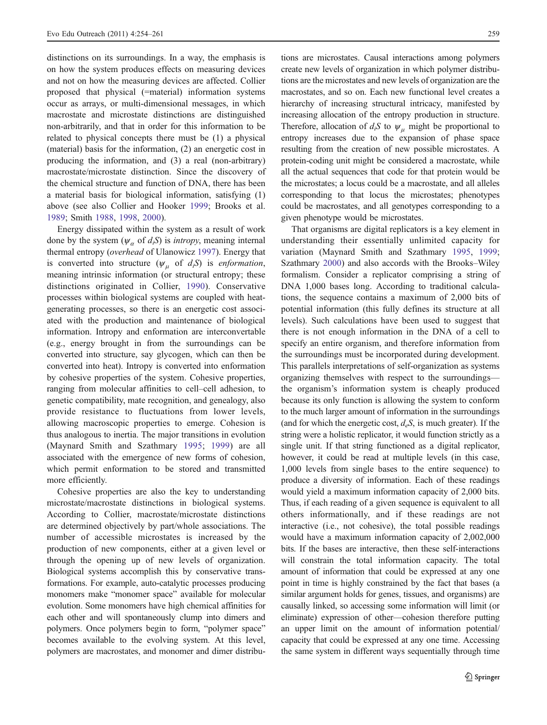distinctions on its surroundings. In a way, the emphasis is on how the system produces effects on measuring devices and not on how the measuring devices are affected. Collier proposed that physical (=material) information systems occur as arrays, or multi-dimensional messages, in which macrostate and microstate distinctions are distinguished non-arbitrarily, and that in order for this information to be related to physical concepts there must be (1) a physical (material) basis for the information, (2) an energetic cost in producing the information, and (3) a real (non-arbitrary) macrostate/microstate distinction. Since the discovery of the chemical structure and function of DNA, there has been a material basis for biological information, satisfying (1) above (see also Collier and Hooker [1999;](#page-7-0) Brooks et al. [1989;](#page-7-0) Smith [1988,](#page-7-0) [1998,](#page-7-0) [2000](#page-7-0)).

Energy dissipated within the system as a result of work done by the system ( $\psi_{\alpha}$  of  $d_iS$ ) is *intropy*, meaning internal thermal entropy (overhead of Ulanowicz [1997](#page-7-0)). Energy that is converted into structure  $(\psi_{\mu}$  of  $d_iS$ ) is *enformation*, meaning intrinsic information (or structural entropy; these distinctions originated in Collier, [1990](#page-7-0)). Conservative processes within biological systems are coupled with heatgenerating processes, so there is an energetic cost associated with the production and maintenance of biological information. Intropy and enformation are interconvertable (e.g., energy brought in from the surroundings can be converted into structure, say glycogen, which can then be converted into heat). Intropy is converted into enformation by cohesive properties of the system. Cohesive properties, ranging from molecular affinities to cell–cell adhesion, to genetic compatibility, mate recognition, and genealogy, also provide resistance to fluctuations from lower levels, allowing macroscopic properties to emerge. Cohesion is thus analogous to inertia. The major transitions in evolution (Maynard Smith and Szathmary [1995](#page-7-0); [1999](#page-7-0)) are all associated with the emergence of new forms of cohesion, which permit enformation to be stored and transmitted more efficiently.

Cohesive properties are also the key to understanding microstate/macrostate distinctions in biological systems. According to Collier, macrostate/microstate distinctions are determined objectively by part/whole associations. The number of accessible microstates is increased by the production of new components, either at a given level or through the opening up of new levels of organization. Biological systems accomplish this by conservative transformations. For example, auto-catalytic processes producing monomers make "monomer space" available for molecular evolution. Some monomers have high chemical affinities for each other and will spontaneously clump into dimers and polymers. Once polymers begin to form, "polymer space" becomes available to the evolving system. At this level, polymers are macrostates, and monomer and dimer distribu-

tions are microstates. Causal interactions among polymers create new levels of organization in which polymer distributions are the microstates and new levels of organization are the macrostates, and so on. Each new functional level creates a hierarchy of increasing structural intricacy, manifested by increasing allocation of the entropy production in structure. Therefore, allocation of  $d_iS$  to  $\psi_{\mu}$  might be proportional to entropy increases due to the expansion of phase space resulting from the creation of new possible microstates. A protein-coding unit might be considered a macrostate, while all the actual sequences that code for that protein would be the microstates; a locus could be a macrostate, and all alleles corresponding to that locus the microstates; phenotypes could be macrostates, and all genotypes corresponding to a given phenotype would be microstates.

That organisms are digital replicators is a key element in understanding their essentially unlimited capacity for variation (Maynard Smith and Szathmary [1995,](#page-7-0) [1999;](#page-7-0) Szathmary [2000\)](#page-7-0) and also accords with the Brooks–Wiley formalism. Consider a replicator comprising a string of DNA 1,000 bases long. According to traditional calculations, the sequence contains a maximum of 2,000 bits of potential information (this fully defines its structure at all levels). Such calculations have been used to suggest that there is not enough information in the DNA of a cell to specify an entire organism, and therefore information from the surroundings must be incorporated during development. This parallels interpretations of self-organization as systems organizing themselves with respect to the surroundings the organism's information system is cheaply produced because its only function is allowing the system to conform to the much larger amount of information in the surroundings (and for which the energetic cost,  $d_eS$ , is much greater). If the string were a holistic replicator, it would function strictly as a single unit. If that string functioned as a digital replicator, however, it could be read at multiple levels (in this case, 1,000 levels from single bases to the entire sequence) to produce a diversity of information. Each of these readings would yield a maximum information capacity of 2,000 bits. Thus, if each reading of a given sequence is equivalent to all others informationally, and if these readings are not interactive (i.e., not cohesive), the total possible readings would have a maximum information capacity of 2,002,000 bits. If the bases are interactive, then these self-interactions will constrain the total information capacity. The total amount of information that could be expressed at any one point in time is highly constrained by the fact that bases (a similar argument holds for genes, tissues, and organisms) are causally linked, so accessing some information will limit (or eliminate) expression of other—cohesion therefore putting an upper limit on the amount of information potential/ capacity that could be expressed at any one time. Accessing the same system in different ways sequentially through time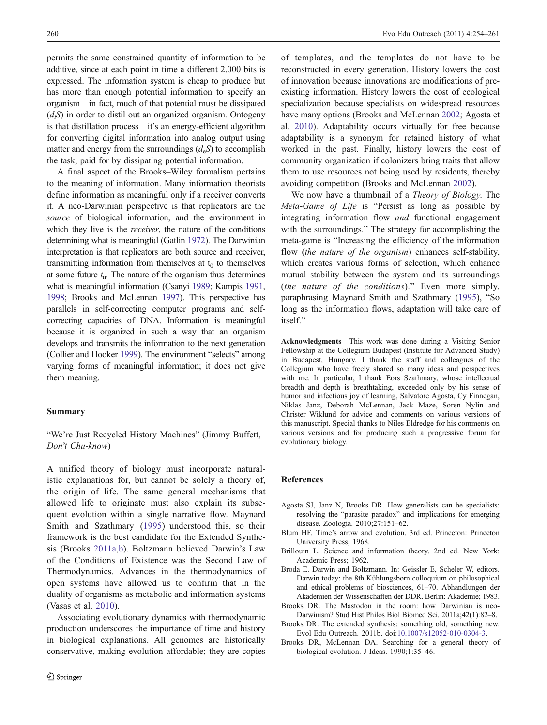<span id="page-6-0"></span>permits the same constrained quantity of information to be additive, since at each point in time a different 2,000 bits is expressed. The information system is cheap to produce but has more than enough potential information to specify an organism—in fact, much of that potential must be dissipated  $(d_iS)$  in order to distil out an organized organism. Ontogeny is that distillation process—it's an energy-efficient algorithm for converting digital information into analog output using matter and energy from the surroundings  $(d_eS)$  to accomplish the task, paid for by dissipating potential information.

A final aspect of the Brooks–Wiley formalism pertains to the meaning of information. Many information theorists define information as meaningful only if a receiver converts it. A neo-Darwinian perspective is that replicators are the source of biological information, and the environment in which they live is the *receiver*, the nature of the conditions determining what is meaningful (Gatlin [1972](#page-7-0)). The Darwinian interpretation is that replicators are both source and receiver, transmitting information from themselves at  $t_0$  to themselves at some future  $t_n$ . The nature of the organism thus determines what is meaningful information (Csanyi [1989;](#page-7-0) Kampis [1991,](#page-7-0) [1998](#page-7-0); Brooks and McLennan [1997\)](#page-7-0). This perspective has parallels in self-correcting computer programs and selfcorrecting capacities of DNA. Information is meaningful because it is organized in such a way that an organism develops and transmits the information to the next generation (Collier and Hooker [1999](#page-7-0)). The environment "selects" among varying forms of meaningful information; it does not give them meaning.

#### Summary

"We're Just Recycled History Machines" (Jimmy Buffett, Don't Chu-know)

A unified theory of biology must incorporate naturalistic explanations for, but cannot be solely a theory of, the origin of life. The same general mechanisms that allowed life to originate must also explain its subsequent evolution within a single narrative flow. Maynard Smith and Szathmary ([1995](#page-7-0)) understood this, so their framework is the best candidate for the Extended Synthesis (Brooks 2011a,b). Boltzmann believed Darwin's Law of the Conditions of Existence was the Second Law of Thermodynamics. Advances in the thermodynamics of open systems have allowed us to confirm that in the duality of organisms as metabolic and information systems (Vasas et al. [2010\)](#page-7-0).

Associating evolutionary dynamics with thermodynamic production underscores the importance of time and history in biological explanations. All genomes are historically conservative, making evolution affordable; they are copies of templates, and the templates do not have to be reconstructed in every generation. History lowers the cost of innovation because innovations are modifications of preexisting information. History lowers the cost of ecological specialization because specialists on widespread resources have many options (Brooks and McLennan [2002](#page-7-0); Agosta et al. 2010). Adaptability occurs virtually for free because adaptability is a synonym for retained history of what worked in the past. Finally, history lowers the cost of community organization if colonizers bring traits that allow them to use resources not being used by residents, thereby avoiding competition (Brooks and McLennan [2002\)](#page-7-0).

We now have a thumbnail of a Theory of Biology. The Meta-Game of Life is "Persist as long as possible by integrating information flow and functional engagement with the surroundings." The strategy for accomplishing the meta-game is "Increasing the efficiency of the information flow (the nature of the organism) enhances self-stability, which creates various forms of selection, which enhance mutual stability between the system and its surroundings (the nature of the conditions)." Even more simply, paraphrasing Maynard Smith and Szathmary [\(1995](#page-7-0)), "So long as the information flows, adaptation will take care of itself."

Acknowledgments This work was done during a Visiting Senior Fellowship at the Collegium Budapest (Institute for Advanced Study) in Budapest, Hungary. I thank the staff and colleagues of the Collegium who have freely shared so many ideas and perspectives with me. In particular, I thank Eors Szathmary, whose intellectual breadth and depth is breathtaking, exceeded only by his sense of humor and infectious joy of learning, Salvatore Agosta, Cy Finnegan, Niklas Janz, Deborah McLennan, Jack Maze, Soren Nylin and Christer Wiklund for advice and comments on various versions of this manuscript. Special thanks to Niles Eldredge for his comments on various versions and for producing such a progressive forum for evolutionary biology.

#### References

- Agosta SJ, Janz N, Brooks DR. How generalists can be specialists: resolving the "parasite paradox" and implications for emerging disease. Zoologia. 2010;27:151–62.
- Blum HF. Time's arrow and evolution. 3rd ed. Princeton: Princeton University Press; 1968.
- Brillouin L. Science and information theory. 2nd ed. New York: Academic Press; 1962.
- Broda E. Darwin and Boltzmann. In: Geissler E, Scheler W, editors. Darwin today: the 8th Kühlungsborn colloquium on philosophical and ethical problems of biosciences, 61–70. Abhandlungen der Akademien der Wissenschaften der DDR. Berlin: Akademie; 1983.
- Brooks DR. The Mastodon in the room: how Darwinian is neo-Darwinism? Stud Hist Philos Biol Biomed Sci. 2011a;42(1):82–8.
- Brooks DR. The extended synthesis: something old, something new. Evol Edu Outreach. 2011b. doi:[10.1007/s12052-010-0304-3.](http://dx.doi.org/10.1007/s12052-010-0304-3)
- Brooks DR, McLennan DA. Searching for a general theory of biological evolution. J Ideas. 1990;1:35–46.